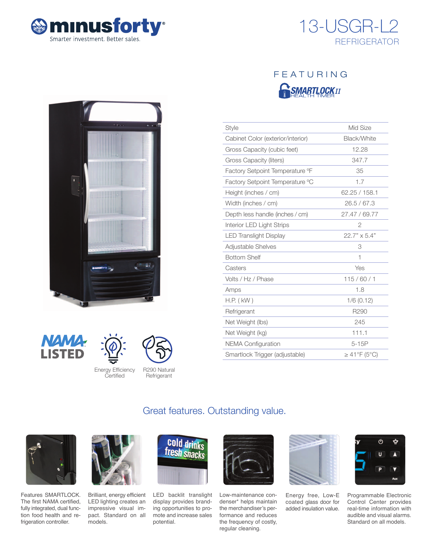



# FEATURING **R**SMARTLOCKII

| <b>Style</b>                      | Mid Size          |
|-----------------------------------|-------------------|
| Cabinet Color (exterior/interior) | Black/White       |
| Gross Capacity (cubic feet)       | 12.28             |
| Gross Capacity (liters)           | 347.7             |
| Factory Setpoint Temperature °F   | 35                |
| Factory Setpoint Temperature °C   | 1.7               |
| Height (inches / cm)              | 62.25 / 158.1     |
| Width (inches / cm)               | 26.5/67.3         |
| Depth less handle (inches / cm)   | 27.47 / 69.77     |
| Interior LED Light Strips         | $\overline{2}$    |
| <b>LED Translight Display</b>     | 22.7" × 5.4"      |
| <b>Adjustable Shelves</b>         | 3                 |
| <b>Bottom Shelf</b>               | 1                 |
| Casters                           | Yes               |
| Volts / Hz / Phase                | 115/60/1          |
| Amps                              | 1.8               |
| $H.P.$ ( $kW$ )                   | $1/6$ (0.12)      |
| Refrigerant                       | R290              |
| Net Weight (lbs)                  | 245               |
| Net Weight (kg)                   | 111.1             |
| <b>NEMA Configuration</b>         | $5-15P$           |
| Smartlock Trigger (adjustable)    | $\geq$ 41°F (5°C) |







**Refrigerant** 

Energy Efficiency Certified

Great features. Outstanding value.



Features SMARTLOCK. The first NAMA certified, fully integrated, dual function food health and refrigeration controller.



Brilliant, energy efficient LED lighting creates an impressive visual impact. Standard on all models.



LED backlit translight display provides branding opportunities to promote and increase sales potential.



Low-maintenance condenser\* helps maintain the merchandiser's performance and reduces the frequency of costly, regular cleaning.



Energy free, Low-E coated glass door for added insulation value.



Programmable Electronic Control Center provides real-time information with audible and visual alarms. Standard on all models.